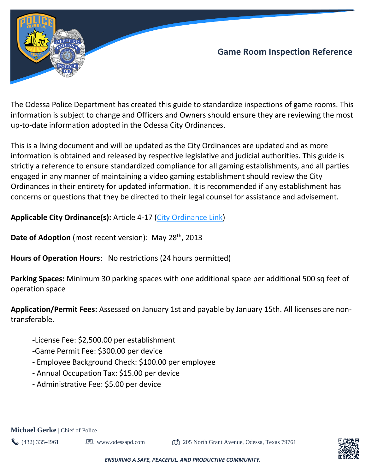

The Odessa Police Department has created this guide to standardize inspections of game rooms. This information is subject to change and Officers and Owners should ensure they are reviewing the most up-to-date information adopted in the Odessa City Ordinances.

This is a living document and will be updated as the City Ordinances are updated and as more information is obtained and released by respective legislative and judicial authorities. This guide is strictly a reference to ensure standardized compliance for all gaming establishments, and all parties engaged in any manner of maintaining a video gaming establishment should review the City Ordinances in their entirety for updated information. It is recommended if any establishment has concerns or questions that they be directed to their legal counsel for assistance and advisement.

**Applicable City Ordinance(s):** Article 4-17 [\(City Ordinance Link\)](https://z2codes.franklinlegal.net/franklin/Z2Browser2.html?showset=odessaset&collection=odessa&doccode=z2Code_z20000924)

**Date of Adoption** (most recent version): May 28<sup>th</sup>, 2013

**Hours of Operation Hours**: No restrictions (24 hours permitted)

**Parking Spaces:** Minimum 30 parking spaces with one additional space per additional 500 sq feet of operation space

**Application/Permit Fees:** Assessed on January 1st and payable by January 15th. All licenses are nontransferable.

- **-**License Fee: \$2,500.00 per establishment
- **-**Game Permit Fee: \$300.00 per device
- **-** Employee Background Check: \$100.00 per employee
- **-** Annual Occupation Tax: \$15.00 per device
- **-** Administrative Fee: \$5.00 per device



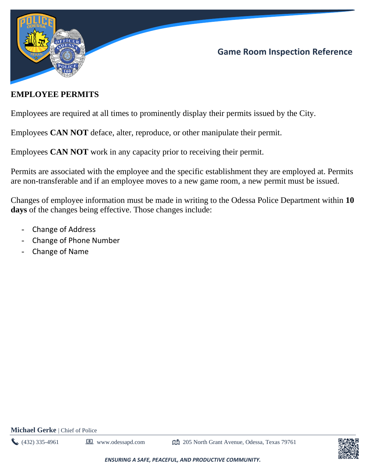

### **EMPLOYEE PERMITS**

Employees are required at all times to prominently display their permits issued by the City.

Employees **CAN NOT** deface, alter, reproduce, or other manipulate their permit.

Employees **CAN NOT** work in any capacity prior to receiving their permit.

Permits are associated with the employee and the specific establishment they are employed at. Permits are non-transferable and if an employee moves to a new game room, a new permit must be issued.

Changes of employee information must be made in writing to the Odessa Police Department within **10 days** of the changes being effective. Those changes include:

- Change of Address
- Change of Phone Number
- Change of Name

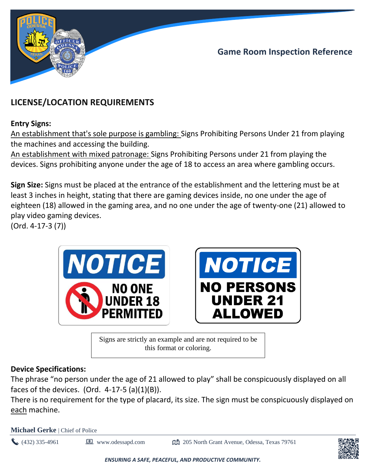



# **LICENSE/LOCATION REQUIREMENTS**

### **Entry Signs:**

An establishment that's sole purpose is gambling: Signs Prohibiting Persons Under 21 from playing the machines and accessing the building.

An establishment with mixed patronage: Signs Prohibiting Persons under 21 from playing the devices. Signs prohibiting anyone under the age of 18 to access an area where gambling occurs.

**Sign Size:** Signs must be placed at the entrance of the establishment and the lettering must be at least 3 inches in height, stating that there are gaming devices inside, no one under the age of eighteen (18) allowed in the gaming area, and no one under the age of twenty-one (21) allowed to play video gaming devices.

(Ord. 4-17-3 (7))





Signs are strictly an example and are not required to be this format or coloring.

### **Device Specifications:**

The phrase "no person under the age of 21 allowed to play" shall be conspicuously displayed on all faces of the devices. (Ord.  $4-17-5$  (a) $(1)(B)$ ).

There is no requirement for the type of placard, its size. The sign must be conspicuously displayed on each machine.

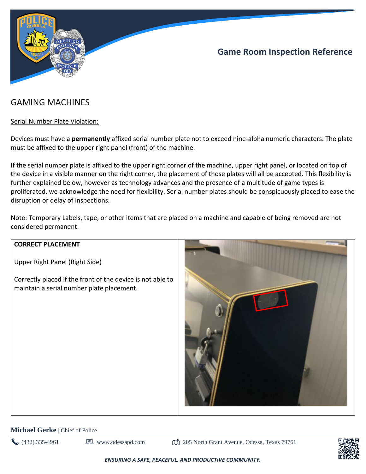

## GAMING MACHINES

#### Serial Number Plate Violation:

Devices must have a **permanently** affixed serial number plate not to exceed nine-alpha numeric characters. The plate must be affixed to the upper right panel (front) of the machine.

If the serial number plate is affixed to the upper right corner of the machine, upper right panel, or located on top of the device in a visible manner on the right corner, the placement of those plates will all be accepted. This flexibility is further explained below, however as technology advances and the presence of a multitude of game types is proliferated, we acknowledge the need for flexibility. Serial number plates should be conspicuously placed to ease the disruption or delay of inspections.

Note: Temporary Labels, tape, or other items that are placed on a machine and capable of being removed are not considered permanent.

#### **CORRECT PLACEMENT**

Upper Right Panel (Right Side)

Correctly placed if the front of the device is not able to maintain a serial number plate placement.



#### **Michael Gerke** | Chief of Police

 $\bullet$  (432) 335-4961 **I** www.odessapd.com  $\bullet$  205 North Grant Avenue, Odessa, Texas 79761

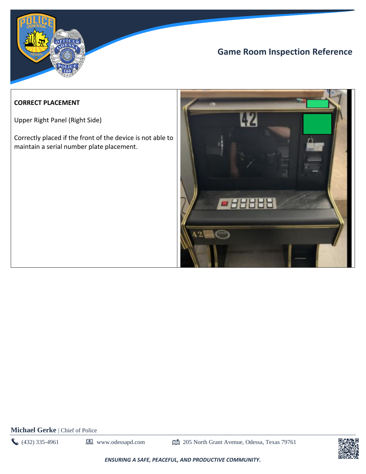

#### **CORRECT PLACEMENT**

Upper Right Panel (Right Side)

Correctly placed if the front of the device is not able to maintain a serial number plate placement.



**Michael Gerke** | Chief of Police

(432) 335-4961 **1** www.odessapd.com **205 North Grant Avenue, Odessa, Texas 79761** 

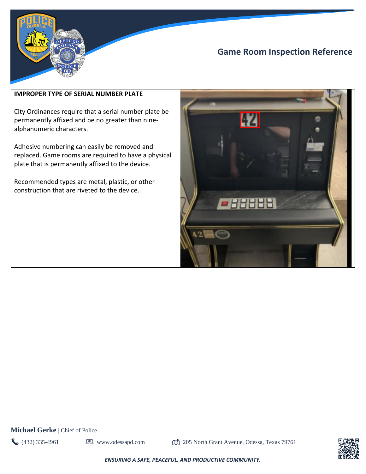

#### **IMPROPER TYPE OF SERIAL NUMBER PLATE**

City Ordinances require that a serial number plate be permanently affixed and be no greater than ninealphanumeric characters.

Adhesive numbering can easily be removed and replaced. Game rooms are required to have a physical plate that is permanently affixed to the device.

Recommended types are metal, plastic, or other construction that are riveted to the device.



**Michael Gerke** | Chief of Police

 $(432)$  335-4961 **I** www.odessapd.com  $\Box$  205 North Grant Avenue, Odessa, Texas 79761

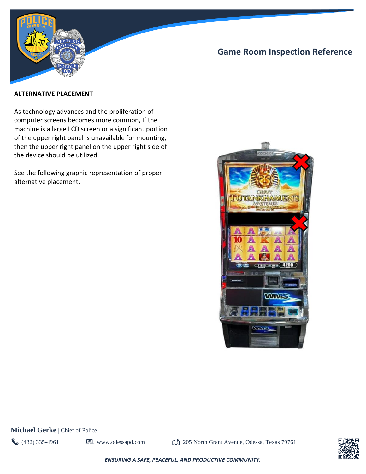

#### **ALTERNATIVE PLACEMENT**

As technology advances and the proliferation of computer screens becomes more common, If the machine is a large LCD screen or a significant portion of the upper right panel is unavailable for mounting, then the upper right panel on the upper right side of the device should be utilized.

See the following graphic representation of proper alternative placement.



**Michael Gerke** | Chief of Police

 $(432)$  335-4961  $\Box$  www.odessapd.com  $\Box$  205 North Grant Avenue, Odessa, Texas 79761

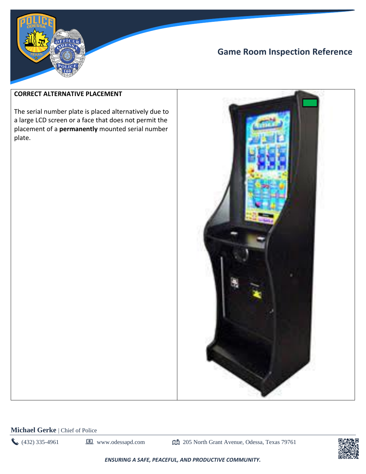

#### **CORRECT ALTERNATIVE PLACEMENT**

The serial number plate is placed alternatively due to a large LCD screen or a face that does not permit the placement of a **permanently** mounted serial number plate.



**Michael Gerke** | Chief of Police

(432) 335-4961 **1** www.odessapd.com **205 North Grant Avenue, Odessa, Texas 79761** 

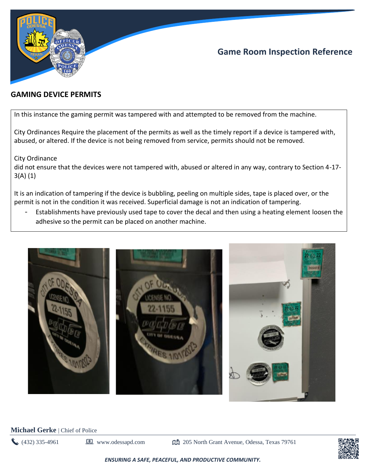

### **GAMING DEVICE PERMITS**

In this instance the gaming permit was tampered with and attempted to be removed from the machine.

City Ordinances Require the placement of the permits as well as the timely report if a device is tampered with, abused, or altered. If the device is not being removed from service, permits should not be removed.

City Ordinance

did not ensure that the devices were not tampered with, abused or altered in any way, contrary to Section 4-17- 3(A) (1)

It is an indication of tampering if the device is bubbling, peeling on multiple sides, tape is placed over, or the permit is not in the condition it was received. Superficial damage is not an indication of tampering.

- Establishments have previously used tape to cover the decal and then using a heating element loosen the adhesive so the permit can be placed on another machine.



**Michael Gerke** | Chief of Police

 $\bullet$  (432) 335-4961 **I** www.odessapd.com  $\bullet$  205 North Grant Avenue, Odessa, Texas 79761

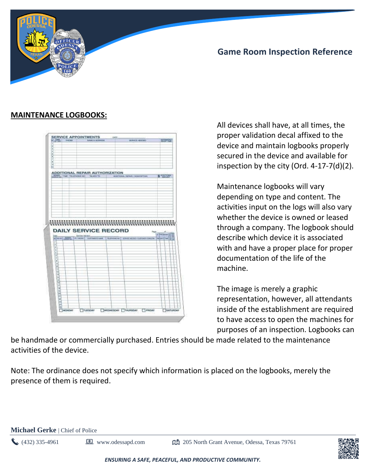

### **MAINTENANCE LOGBOOKS:**



All devices shall have, at all times, the proper validation decal affixed to the device and maintain logbooks properly secured in the device and available for inspection by the city (Ord. 4-17-7(d)(2).

Maintenance logbooks will vary depending on type and content. The activities input on the logs will also vary whether the device is owned or leased through a company. The logbook should describe which device it is associated with and have a proper place for proper documentation of the life of the machine.

The image is merely a graphic representation, however, all attendants inside of the establishment are required to have access to open the machines for purposes of an inspection. Logbooks can

be handmade or commercially purchased. Entries should be made related to the maintenance activities of the device.

Note: The ordinance does not specify which information is placed on the logbooks, merely the presence of them is required.

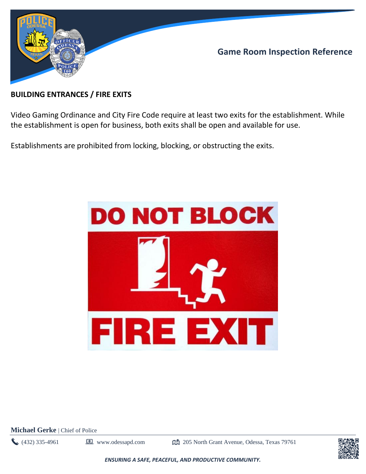

### **BUILDING ENTRANCES / FIRE EXITS**

Video Gaming Ordinance and City Fire Code require at least two exits for the establishment. While the establishment is open for business, both exits shall be open and available for use.

Establishments are prohibited from locking, blocking, or obstructing the exits.



**Michael Gerke** | Chief of Police

(432) 335-4961 **D** www.odessapd.com  $\mathbb{C}$  205 North Grant Avenue, Odessa, Texas 79761

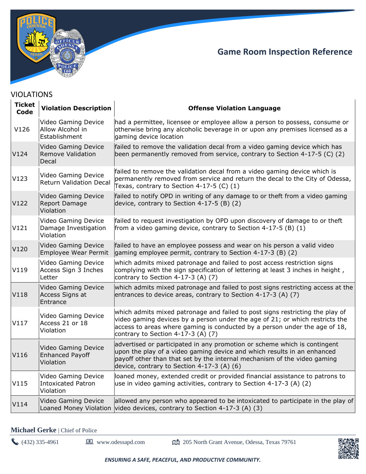

| <b>Ticket</b><br>Code | <b>Violation Description</b>                                      | <b>Offense Violation Language</b>                                                                                                                                                                                                                                                 |
|-----------------------|-------------------------------------------------------------------|-----------------------------------------------------------------------------------------------------------------------------------------------------------------------------------------------------------------------------------------------------------------------------------|
| V126                  | Video Gaming Device<br>Allow Alcohol in<br>Establishment          | had a permittee, licensee or employee allow a person to possess, consume or<br>otherwise bring any alcoholic beverage in or upon any premises licensed as a<br>gaming device location                                                                                             |
| V124                  | Video Gaming Device<br>Remove Validation<br>Decal                 | failed to remove the validation decal from a video gaming device which has<br>been permanently removed from service, contrary to Section 4-17-5 $(C)$ (2)                                                                                                                         |
| V123                  | Video Gaming Device<br><b>Return Validation Decal</b>             | failed to remove the validation decal from a video gaming device which is<br>permanently removed from service and return the decal to the City of Odessa,<br>Texas, contrary to Section $4-17-5$ (C) $(1)$                                                                        |
| V122                  | Video Gaming Device<br>Report Damage<br>Violation                 | failed to notify OPD in writing of any damage to or theft from a video gaming<br>device, contrary to Section 4-17-5 (B) (2)                                                                                                                                                       |
| V121                  | Video Gaming Device<br>Damage Investigation<br>Violation          | failed to request investigation by OPD upon discovery of damage to or theft<br>from a video gaming device, contrary to Section $4-17-5$ (B) (1)                                                                                                                                   |
| V120                  | Video Gaming Device<br><b>Employee Wear Permit</b>                | failed to have an employee possess and wear on his person a valid video<br>gaming employee permit, contrary to Section 4-17-3 (B) (2)                                                                                                                                             |
| V119                  | Video Gaming Device<br>Access Sign 3 Inches<br>Letter             | which admits mixed patronage and failed to post access restriction signs<br>complying with the sign specification of lettering at least 3 inches in height,<br>contrary to Section 4-17-3 (A) (7)                                                                                 |
| V118                  | Video Gaming Device<br>Access Signs at<br>Entrance                | which admits mixed patronage and failed to post signs restricting access at the<br>entrances to device areas, contrary to Section 4-17-3 (A) (7)                                                                                                                                  |
| V117                  | Video Gaming Device<br>Access 21 or 18<br>Violation               | which admits mixed patronage and failed to post signs restricting the play of<br>video gaming devices by a person under the age of 21; or which restricts the<br>access to areas where gaming is conducted by a person under the age of 18,<br>contrary to Section 4-17-3 (A) (7) |
| V116                  | <b>Video Gaming Device</b><br><b>Enhanced Payoff</b><br>Violation | advertised or participated in any promotion or scheme which is contingent<br>upon the play of a video gaming device and which results in an enhanced<br>payoff other than that set by the internal mechanism of the video gaming<br>device, contrary to Section $4-17-3$ (A) (6)  |
| V115                  | Video Gaming Device<br><b>Intoxicated Patron</b><br>Violation     | loaned money, extended credit or provided financial assistance to patrons to<br>use in video gaming activities, contrary to Section 4-17-3 (A) (2)                                                                                                                                |
| V114                  | <b>Video Gaming Device</b><br>Loaned Money Violation              | allowed any person who appeared to be intoxicated to participate in the play of<br>video devices, contrary to Section 4-17-3 (A) $(3)$                                                                                                                                            |

### VIOLATIONS

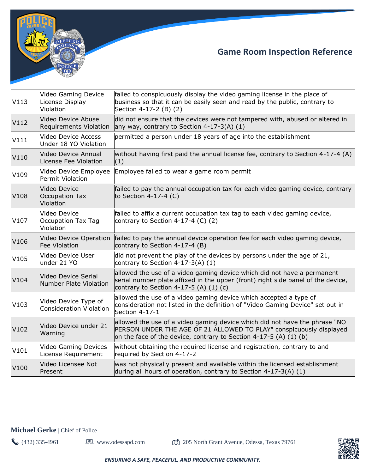

| V113 | Video Gaming Device<br>License Display<br>Violation    | failed to conspicuously display the video gaming license in the place of<br>business so that it can be easily seen and read by the public, contrary to<br>Section 4-17-2 (B) (2)                                         |
|------|--------------------------------------------------------|--------------------------------------------------------------------------------------------------------------------------------------------------------------------------------------------------------------------------|
| V112 | Video Device Abuse<br><b>Requirements Violation</b>    | did not ensure that the devices were not tampered with, abused or altered in<br>any way, contrary to Section $4-17-3(A)$ (1)                                                                                             |
| V111 | <b>Video Device Access</b><br>Under 18 YO Violation    | permitted a person under 18 years of age into the establishment                                                                                                                                                          |
| V110 | Video Device Annual<br>License Fee Violation           | without having first paid the annual license fee, contrary to Section 4-17-4 (A)<br>(1)                                                                                                                                  |
| V109 | Video Device Employee<br>Permit Violation              | Employee failed to wear a game room permit                                                                                                                                                                               |
| V108 | Video Device<br>Occupation Tax<br>Violation            | failed to pay the annual occupation tax for each video gaming device, contrary<br>to Section 4-17-4 (C)                                                                                                                  |
| V107 | Video Device<br><b>Occupation Tax Tag</b><br>Violation | failed to affix a current occupation tax tag to each video gaming device,<br>contrary to Section 4-17-4 (C) $(2)$                                                                                                        |
|      |                                                        |                                                                                                                                                                                                                          |
| V106 | Video Device Operation<br><b>Fee Violation</b>         | failed to pay the annual device operation fee for each video gaming device,<br>contrary to Section 4-17-4 (B)                                                                                                            |
| V105 | Video Device User<br>under 21 YO                       | did not prevent the play of the devices by persons under the age of 21,<br>contrary to Section $4-17-3(A)$ (1)                                                                                                           |
| V104 | Video Device Serial<br><b>Number Plate Violation</b>   | allowed the use of a video gaming device which did not have a permanent<br>serial number plate affixed in the upper (front) right side panel of the device,<br>contrary to Section 4-17-5 (A) $(1)$ (c)                  |
| V103 | Video Device Type of<br><b>Consideration Violation</b> | allowed the use of a video gaming device which accepted a type of<br>consideration not listed in the definition of "Video Gaming Device" set out in<br>Section 4-17-1                                                    |
| V102 | Video Device under 21<br>Warning                       | allowed the use of a video gaming device which did not have the phrase "NO<br>PERSON UNDER THE AGE OF 21 ALLOWED TO PLAY" conspicuously displayed<br>on the face of the device, contrary to Section 4-17-5 (A) $(1)$ (b) |
| V101 | <b>Video Gaming Devices</b><br>License Requirement     | without obtaining the required license and registration, contrary to and<br>required by Section 4-17-2                                                                                                                   |

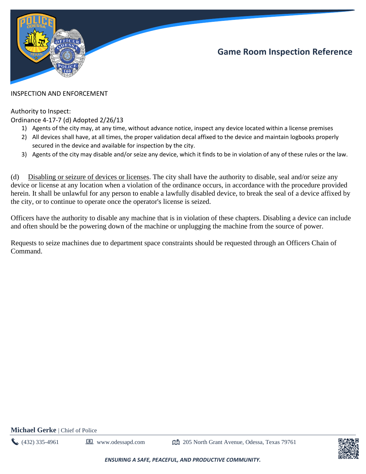

#### INSPECTION AND ENFORCEMENT

#### Authority to Inspect:

#### Ordinance 4-17-7 (d) Adopted 2/26/13

- 1) Agents of the city may, at any time, without advance notice, inspect any device located within a license premises
- 2) All devices shall have, at all times, the proper validation decal affixed to the device and maintain logbooks properly secured in the device and available for inspection by the city.
- 3) Agents of the city may disable and/or seize any device, which it finds to be in violation of any of these rules or the law.

(d) Disabling or seizure of devices or licenses. The city shall have the authority to disable, seal and/or seize any device or license at any location when a violation of the ordinance occurs, in accordance with the procedure provided herein. It shall be unlawful for any person to enable a lawfully disabled device, to break the seal of a device affixed by the city, or to continue to operate once the operator's license is seized.

Officers have the authority to disable any machine that is in violation of these chapters. Disabling a device can include and often should be the powering down of the machine or unplugging the machine from the source of power.

Requests to seize machines due to department space constraints should be requested through an Officers Chain of Command.